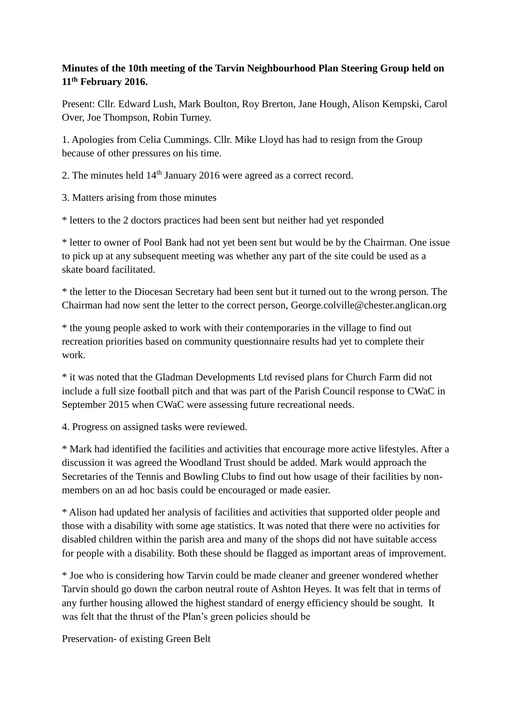## **Minutes of the 10th meeting of the Tarvin Neighbourhood Plan Steering Group held on 11th February 2016.**

Present: Cllr. Edward Lush, Mark Boulton, Roy Brerton, Jane Hough, Alison Kempski, Carol Over, Joe Thompson, Robin Turney.

1. Apologies from Celia Cummings. Cllr. Mike Lloyd has had to resign from the Group because of other pressures on his time.

2. The minutes held 14<sup>th</sup> January 2016 were agreed as a correct record.

3. Matters arising from those minutes

\* letters to the 2 doctors practices had been sent but neither had yet responded

\* letter to owner of Pool Bank had not yet been sent but would be by the Chairman. One issue to pick up at any subsequent meeting was whether any part of the site could be used as a skate board facilitated.

\* the letter to the Diocesan Secretary had been sent but it turned out to the wrong person. The Chairman had now sent the letter to the correct person, [George.colville@chester.anglican.org](mailto:George.colville@chester.anglican.org)

\* the young people asked to work with their contemporaries in the village to find out recreation priorities based on community questionnaire results had yet to complete their work.

\* it was noted that the Gladman Developments Ltd revised plans for Church Farm did not include a full size football pitch and that was part of the Parish Council response to CWaC in September 2015 when CWaC were assessing future recreational needs.

4. Progress on assigned tasks were reviewed.

\* Mark had identified the facilities and activities that encourage more active lifestyles. After a discussion it was agreed the Woodland Trust should be added. Mark would approach the Secretaries of the Tennis and Bowling Clubs to find out how usage of their facilities by nonmembers on an ad hoc basis could be encouraged or made easier.

\* Alison had updated her analysis of facilities and activities that supported older people and those with a disability with some age statistics. It was noted that there were no activities for disabled children within the parish area and many of the shops did not have suitable access for people with a disability. Both these should be flagged as important areas of improvement.

\* Joe who is considering how Tarvin could be made cleaner and greener wondered whether Tarvin should go down the carbon neutral route of Ashton Heyes. It was felt that in terms of any further housing allowed the highest standard of energy efficiency should be sought. It was felt that the thrust of the Plan's green policies should be

Preservation- of existing Green Belt